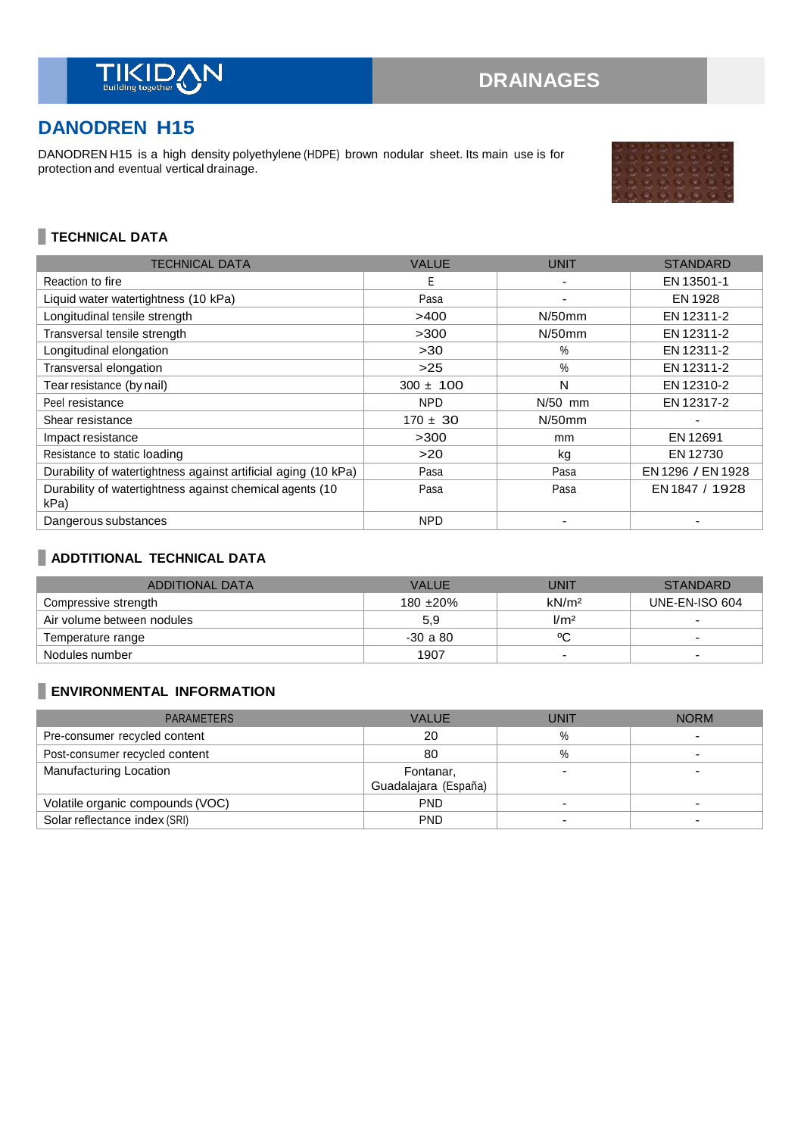

# **DANODREN H15**

DANODREN H15 is a high density polyethylene (HDPE) brown nodular sheet. Its main use is for protection and eventual vertical drainage.

# **TECHNICAL DATA**

| <b>TECHNICAL DATA</b>                                            | <b>VALUE</b>  | <b>UNIT</b>   | <b>STANDARD</b>   |
|------------------------------------------------------------------|---------------|---------------|-------------------|
| Reaction to fire                                                 | E             |               | EN 13501-1        |
| Liquid water watertightness (10 kPa)                             | Pasa          |               | EN 1928           |
| Longitudinal tensile strength                                    | >400          | $N/50$ mm     | EN 12311-2        |
| Transversal tensile strength                                     | >300          | $N/50$ mm     | EN 12311-2        |
| Longitudinal elongation                                          | >30           | $\%$          | EN 12311-2        |
| Transversal elongation                                           | $>25$         | $\%$          | EN 12311-2        |
| Tear resistance (by nail)                                        | $300 \pm 100$ | N             | EN 12310-2        |
| Peel resistance                                                  | <b>NPD</b>    | $N/50$ mm     | EN 12317-2        |
| Shear resistance                                                 | $170 \pm 30$  | $N/50$ mm     |                   |
| Impact resistance                                                | >300          | <sub>mm</sub> | EN 12691          |
| Resistance to static loading                                     | >20           | kg            | EN 12730          |
| Durability of watertightness against artificial aging (10 kPa)   | Pasa          | Pasa          | EN 1296 / EN 1928 |
| Durability of watertightness against chemical agents (10<br>kPa) | Pasa          | Pasa          | EN 1847 / 1928    |
| Dangerous substances                                             | <b>NPD</b>    |               |                   |

# **ADDTITIONAL TECHNICAL DATA**

| ADDITIONAL DATA            | <b>VALUE</b>   | UNIT                     | <b>STANDARD</b>          |
|----------------------------|----------------|--------------------------|--------------------------|
| Compressive strength       | 180 $\pm 20\%$ | kN/m <sup>2</sup>        | UNE-EN-ISO 604           |
| Air volume between nodules | 5.9            | 1/m <sup>2</sup>         |                          |
| Temperature range          | $-30a80$       | ٥C                       |                          |
| Nodules number             | 1907           | $\overline{\phantom{0}}$ | $\overline{\phantom{0}}$ |

# **ENVIRONMENTAL INFORMATION**

| <b>PARAMETERS</b>                | <b>VALUE</b>         | UNIT | <b>NORM</b> |
|----------------------------------|----------------------|------|-------------|
| Pre-consumer recycled content    | 20                   | $\%$ |             |
| Post-consumer recycled content   | 80                   | %    |             |
| Manufacturing Location           | Fontanar,            |      |             |
|                                  | Guadalajara (España) |      |             |
| Volatile organic compounds (VOC) | <b>PND</b>           | -    |             |
| Solar reflectance index (SRI)    | <b>PND</b>           |      |             |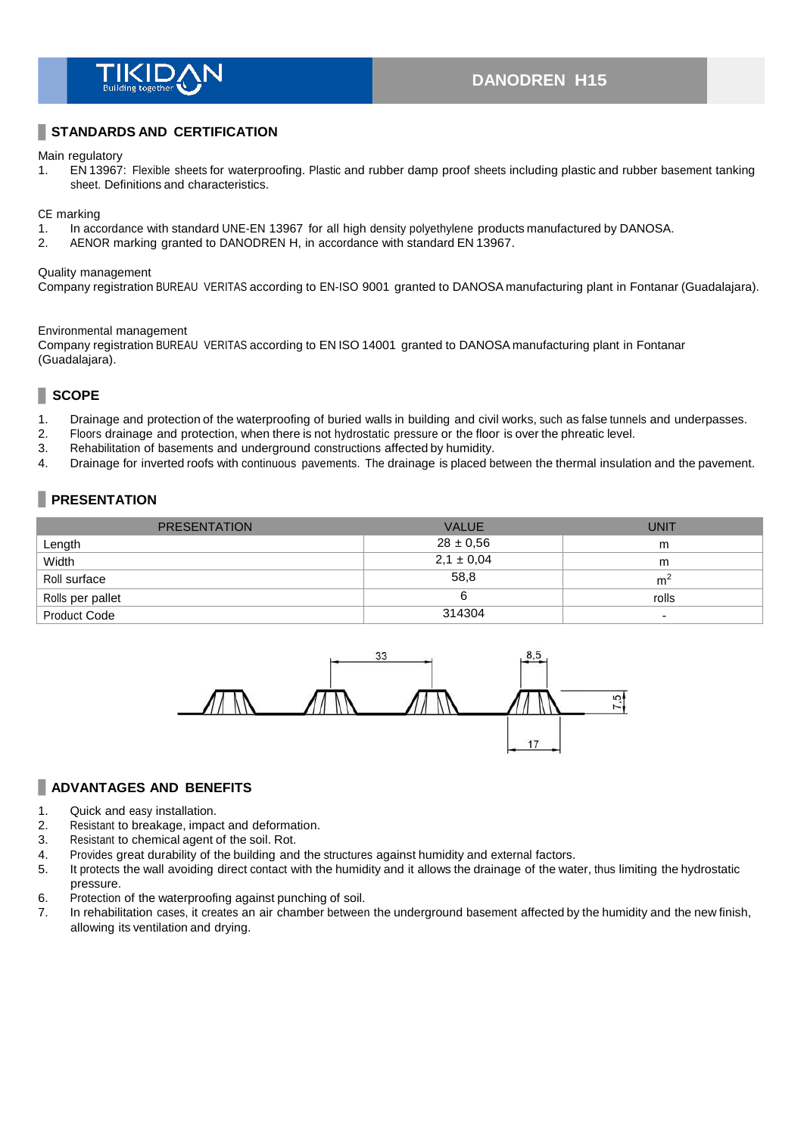

# **DANODREN H15**

## **STANDARDS AND CERTIFICATION**

Main regulatory

1. EN 13967: Flexible sheets for waterproofing. Plastic and rubber damp proof sheets including plastic and rubber basement tanking sheet. Definitions and characteristics.

CE marking

- 1. In accordance with standard UNE-EN 13967 for all high density polyethylene products manufactured by DANOSA.<br>2. AENOR marking granted to DANODREN H, in accordance with standard EN 13967.
- 2. AENOR marking granted to DANODREN H, in accordance with standard EN 13967.

#### Quality management

Company registration BUREAU VERITAS according to EN-ISO 9001 granted to DANOSA manufacturing plant in Fontanar (Guadalajara).

#### Environmental management

Company registration BUREAU VERITAS according to EN ISO 14001 granted to DANOSA manufacturing plant in Fontanar (Guadalajara).

## **SCOPE**

- 1. Drainage and protection of the waterproofing of buried walls in building and civil works, such as false tunnels and underpasses.
- 2. Floors drainage and protection, when there is not hydrostatic pressure or the floor is over the phreatic level.<br>3. Rehabilitation of basements and underground constructions affected by humidity.
- Rehabilitation of basements and underground constructions affected by humidity.
- 4. Drainage for inverted roofs with continuous pavements. The drainage is placed between the thermal insulation and the pavement.

## **PRESENTATION**

| <b>PRESENTATION</b> | <b>VALUE</b>   | <b>UNIT</b>    |
|---------------------|----------------|----------------|
| Length              | $28 \pm 0.56$  | m              |
| Width               | $2,1 \pm 0,04$ | m              |
| Roll surface        | 58,8           | m <sup>2</sup> |
| Rolls per pallet    |                | rolls          |
| <b>Product Code</b> | 314304         |                |



#### **ADVANTAGES AND BENEFITS**

- 1. Quick and easy installation.
- 2. Resistant to breakage, impact and deformation.
- 3. Resistant to chemical agent of the soil. Rot.
- 4. Provides great durability of the building and the structures against humidity and external factors.
- 5. It protects the wall avoiding direct contact with the humidity and it allows the drainage of the water, thus limiting the hydrostatic pressure.
- 6. Protection of the waterproofing against punching of soil.
- 7. In rehabilitation cases, it creates an air chamber between the underground basement affected by the humidity and the new finish, allowing its ventilation and drying.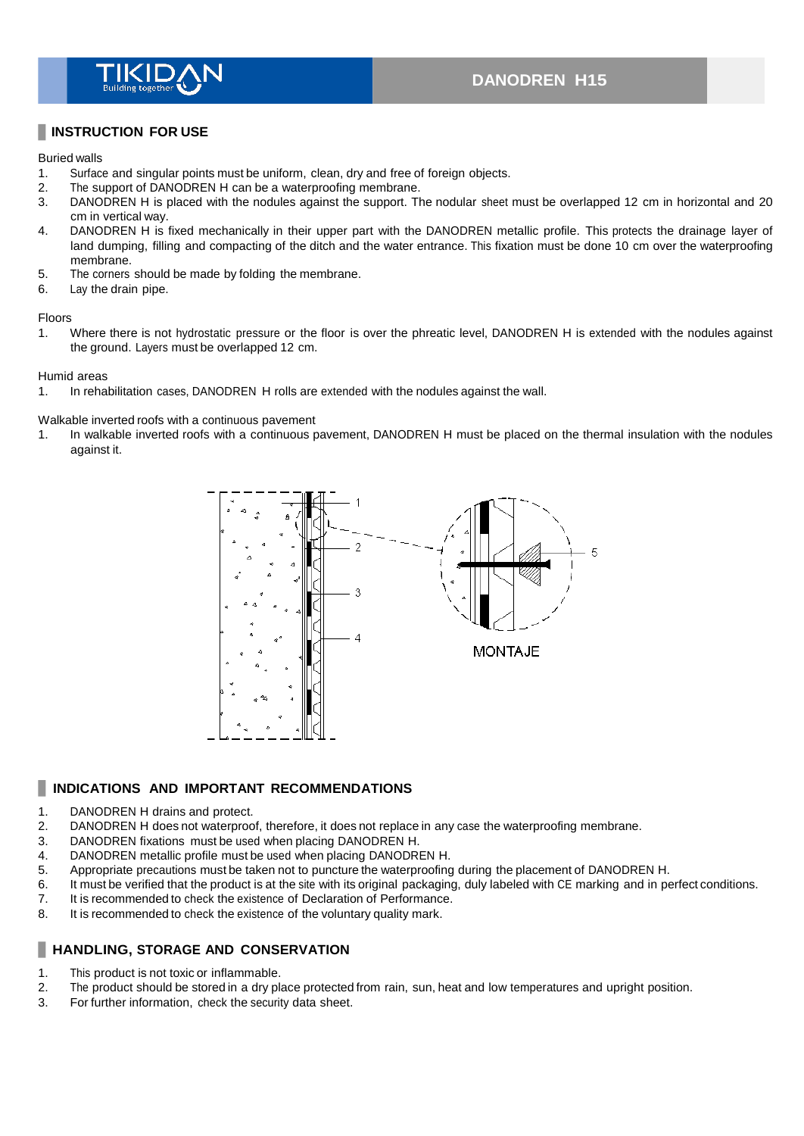

## **INSTRUCTION FOR USE**

#### Buried walls

- 1. Surface and singular points must be uniform, clean, dry and free of foreign objects.<br>2. The support of DANODREN H can be a waterproofing membrane.
- 2. The support of DANODREN H can be a waterproofing membrane.<br>3. DANODREN H is placed with the nodules against the support. The
- DANODREN H is placed with the nodules against the support. The nodular sheet must be overlapped 12 cm in horizontal and 20 cm in vertical way.
- 4. DANODREN H is fixed mechanically in their upper part with the DANODREN metallic profile. This protects the drainage layer of land dumping, filling and compacting of the ditch and the water entrance. This fixation must be done 10 cm over the waterproofing membrane.
- 5. The corners should be made by folding the membrane.
- 6. Lay the drain pipe.

#### Floors

1. Where there is not hydrostatic pressure or the floor is over the phreatic level, DANODREN H is extended with the nodules against the ground. Layers must be overlapped 12 cm.

#### Humid areas

1. In rehabilitation cases, DANODREN H rolls are extended with the nodules against the wall.

Walkable inverted roofs with a continuous pavement

1. In walkable inverted roofs with a continuous pavement, DANODREN H must be placed on the thermal insulation with the nodules against it.



#### **INDICATIONS AND IMPORTANT RECOMMENDATIONS** П

- 1. DANODREN H drains and protect.
- 2. DANODREN H does not waterproof, therefore, it does not replace in any case the waterproofing membrane.
- 3. DANODREN fixations must be used when placing DANODREN H.
- 4. DANODREN metallic profile must be used when placing DANODREN H.
- 5. Appropriate precautions must be taken not to puncture the waterproofing during the placement of DANODREN H.
- 6. It must be verified that the product is at the site with its original packaging, duly labeled with CE marking and in perfect conditions.
- 7. It is recommended to check the existence of Declaration of Performance.
- 8. It is recommended to check the existence of the voluntary quality mark.

## **HANDLING, STORAGE AND CONSERVATION**

- 1. This product is not toxic or inflammable.
- 2. The product should be stored in a dry place protected from rain, sun, heat and low temperatures and upright position.
- 3. For further information, check the security data sheet.